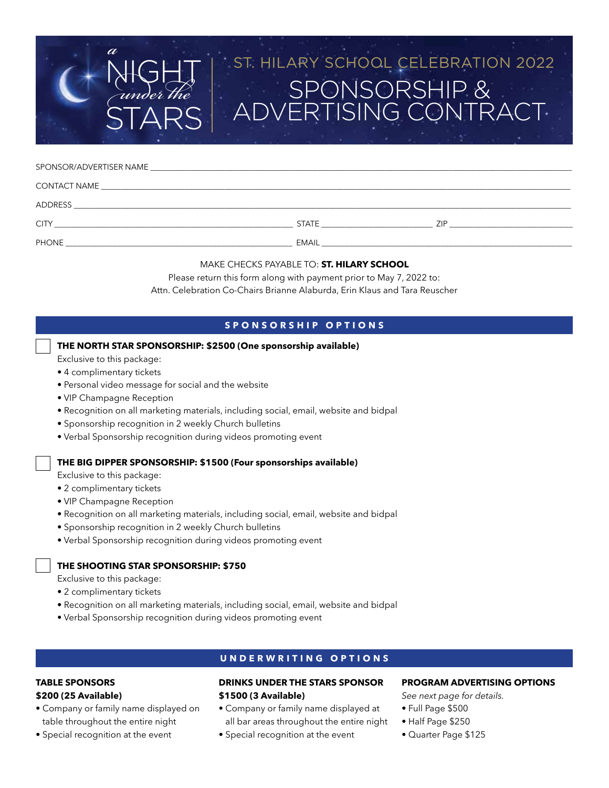# DNSORSHIP & ERTISING CONTRACT ST. HILARY SCHOOL CELEBRATION 2022

#### SPONSOR/ADVERTISER NAME

 $a$ <br>N

| CONTACT NAME |              |     |
|--------------|--------------|-----|
| ADDRESS      |              |     |
| <b>CITY</b>  | <b>STATE</b> | ZIP |
| <b>PHONE</b> | <b>EMAIL</b> |     |

## MAKE CHECKS PAYABLE TO: **ST. HILARY SCHOOL**

Please return this form along with payment prior to May 7, 2022 to: Attn. Celebration Co-Chairs Brianne Alaburda, Erin Klaus and Tara Reuscher

## **SPONSORSHIP OPTIONS**

## **THE NORTH STAR SPONSORSHIP: \$2500 (One sponsorship available)**

- Exclusive to this package:
- 4 complimentary tickets
- Personal video message for social and the website

**STARS** 

U*n*d*er* t*e*

- VIP Champagne Reception
- Recognition on all marketing materials, including social, email, website and bidpal
- Sponsorship recognition in 2 weekly Church bulletins
- Verbal Sponsorship recognition during videos promoting event

## **THE BIG DIPPER SPONSORSHIP: \$1500 (Four sponsorships available)**

Exclusive to this package:

- 2 complimentary tickets
- VIP Champagne Reception
- Recognition on all marketing materials, including social, email, website and bidpal
- Sponsorship recognition in 2 weekly Church bulletins
- Verbal Sponsorship recognition during videos promoting event

## **THE SHOOTING STAR SPONSORSHIP: \$750**

Exclusive to this package:

- 2 complimentary tickets
- Recognition on all marketing materials, including social, email, website and bidpal
- Verbal Sponsorship recognition during videos promoting event

## **UNDERWRITING OPTIONS**

#### **TABLE SPONSORS**

### **\$200 (25 Available)**

- Company or family name displayed on table throughout the entire night
- Special recognition at the event

## **DRINKS UNDER THE STARS SPONSOR \$1500 (3 Available)**

- Company or family name displayed at all bar areas throughout the entire night
- Special recognition at the event

#### **PROGRAM ADVERTISING OPTIONS**

*See next page for details.*

- Full Page \$500
- Half Page \$250
- Quarter Page \$125